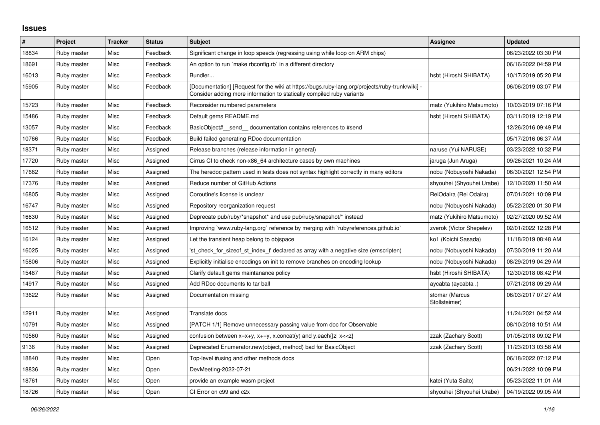## **Issues**

| $\pmb{\#}$ | Project     | <b>Tracker</b> | <b>Status</b> | <b>Subject</b>                                                                                                                                                           | <b>Assignee</b>                 | <b>Updated</b>      |
|------------|-------------|----------------|---------------|--------------------------------------------------------------------------------------------------------------------------------------------------------------------------|---------------------------------|---------------------|
| 18834      | Ruby master | Misc           | Feedback      | Significant change in loop speeds (regressing using while loop on ARM chips)                                                                                             |                                 | 06/23/2022 03:30 PM |
| 18691      | Ruby master | Misc           | Feedback      | An option to run `make rbconfig.rb` in a different directory                                                                                                             |                                 | 06/16/2022 04:59 PM |
| 16013      | Ruby master | Misc           | Feedback      | Bundler                                                                                                                                                                  | hsbt (Hiroshi SHIBATA)          | 10/17/2019 05:20 PM |
| 15905      | Ruby master | Misc           | Feedback      | [Documentation] [Request for the wiki at https://bugs.ruby-lang.org/projects/ruby-trunk/wiki] -<br>Consider adding more information to statically compiled ruby variants |                                 | 06/06/2019 03:07 PM |
| 15723      | Ruby master | Misc           | Feedback      | Reconsider numbered parameters                                                                                                                                           | matz (Yukihiro Matsumoto)       | 10/03/2019 07:16 PM |
| 15486      | Ruby master | Misc           | Feedback      | Default gems README.md                                                                                                                                                   | hsbt (Hiroshi SHIBATA)          | 03/11/2019 12:19 PM |
| 13057      | Ruby master | Misc           | Feedback      | BasicObject# send documentation contains references to #send                                                                                                             |                                 | 12/26/2016 09:49 PM |
| 10766      | Ruby master | Misc           | Feedback      | Build failed generating RDoc documentation                                                                                                                               |                                 | 05/17/2016 06:37 AM |
| 18371      | Ruby master | Misc           | Assigned      | Release branches (release information in general)                                                                                                                        | naruse (Yui NARUSE)             | 03/23/2022 10:32 PM |
| 17720      | Ruby master | Misc           | Assigned      | Cirrus CI to check non-x86_64 architecture cases by own machines                                                                                                         | jaruga (Jun Aruga)              | 09/26/2021 10:24 AM |
| 17662      | Ruby master | Misc           | Assigned      | The heredoc pattern used in tests does not syntax highlight correctly in many editors                                                                                    | nobu (Nobuyoshi Nakada)         | 06/30/2021 12:54 PM |
| 17376      | Ruby master | Misc           | Assigned      | Reduce number of GitHub Actions                                                                                                                                          | shyouhei (Shyouhei Urabe)       | 12/10/2020 11:50 AM |
| 16805      | Ruby master | Misc           | Assigned      | Coroutine's license is unclear                                                                                                                                           | ReiOdaira (Rei Odaira)          | 07/01/2021 10:09 PM |
| 16747      | Ruby master | Misc           | Assigned      | Repository reorganization request                                                                                                                                        | nobu (Nobuyoshi Nakada)         | 05/22/2020 01:30 PM |
| 16630      | Ruby master | Misc           | Assigned      | Deprecate pub/ruby/*snapshot* and use pub/ruby/snapshot/* instead                                                                                                        | matz (Yukihiro Matsumoto)       | 02/27/2020 09:52 AM |
| 16512      | Ruby master | Misc           | Assigned      | Improving `www.ruby-lang.org` reference by merging with `rubyreferences.github.io`                                                                                       | zverok (Victor Shepelev)        | 02/01/2022 12:28 PM |
| 16124      | Ruby master | Misc           | Assigned      | Let the transient heap belong to objspace                                                                                                                                | ko1 (Koichi Sasada)             | 11/18/2019 08:48 AM |
| 16025      | Ruby master | Misc           | Assigned      | 'st check for sizeof st index t' declared as array with a negative size (emscripten)                                                                                     | nobu (Nobuyoshi Nakada)         | 07/30/2019 11:20 AM |
| 15806      | Ruby master | Misc           | Assigned      | Explicitly initialise encodings on init to remove branches on encoding lookup                                                                                            | nobu (Nobuyoshi Nakada)         | 08/29/2019 04:29 AM |
| 15487      | Ruby master | Misc           | Assigned      | Clarify default gems maintanance policy                                                                                                                                  | hsbt (Hiroshi SHIBATA)          | 12/30/2018 08:42 PM |
| 14917      | Ruby master | Misc           | Assigned      | Add RDoc documents to tar ball                                                                                                                                           | aycabta (aycabta.)              | 07/21/2018 09:29 AM |
| 13622      | Ruby master | Misc           | Assigned      | Documentation missing                                                                                                                                                    | stomar (Marcus<br>Stollsteimer) | 06/03/2017 07:27 AM |
| 12911      | Ruby master | Misc           | Assigned      | Translate docs                                                                                                                                                           |                                 | 11/24/2021 04:52 AM |
| 10791      | Ruby master | Misc           | Assigned      | [PATCH 1/1] Remove unnecessary passing value from doc for Observable                                                                                                     |                                 | 08/10/2018 10:51 AM |
| 10560      | Ruby master | Misc           | Assigned      | confusion between $x=x+y$ , $x+=y$ , x.concat(y) and y.each{ z  $x<}$                                                                                                    | zzak (Zachary Scott)            | 01/05/2018 09:02 PM |
| 9136       | Ruby master | Misc           | Assigned      | Deprecated Enumerator.new(object, method) bad for BasicObject                                                                                                            | zzak (Zachary Scott)            | 11/23/2013 03:58 AM |
| 18840      | Ruby master | Misc           | Open          | Top-level #using and other methods docs                                                                                                                                  |                                 | 06/18/2022 07:12 PM |
| 18836      | Ruby master | Misc           | Open          | DevMeeting-2022-07-21                                                                                                                                                    |                                 | 06/21/2022 10:09 PM |
| 18761      | Ruby master | Misc           | Open          | provide an example wasm project                                                                                                                                          | katei (Yuta Saito)              | 05/23/2022 11:01 AM |
| 18726      | Ruby master | Misc           | Open          | CI Error on c99 and c2x                                                                                                                                                  | shyouhei (Shyouhei Urabe)       | 04/19/2022 09:05 AM |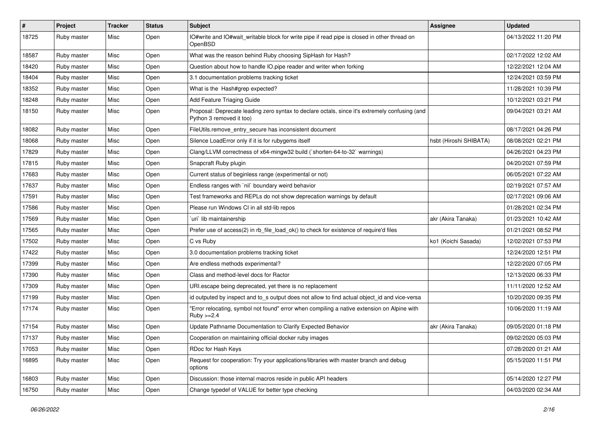| $\sharp$ | Project     | <b>Tracker</b> | <b>Status</b> | Subject                                                                                                                    | <b>Assignee</b>        | <b>Updated</b>      |
|----------|-------------|----------------|---------------|----------------------------------------------------------------------------------------------------------------------------|------------------------|---------------------|
| 18725    | Ruby master | Misc           | Open          | IO#write and IO#wait_writable block for write pipe if read pipe is closed in other thread on<br>OpenBSD                    |                        | 04/13/2022 11:20 PM |
| 18587    | Ruby master | Misc           | Open          | What was the reason behind Ruby choosing SipHash for Hash?                                                                 |                        | 02/17/2022 12:02 AM |
| 18420    | Ruby master | Misc           | Open          | Question about how to handle IO pipe reader and writer when forking                                                        |                        | 12/22/2021 12:04 AM |
| 18404    | Ruby master | Misc           | Open          | 3.1 documentation problems tracking ticket                                                                                 |                        | 12/24/2021 03:59 PM |
| 18352    | Ruby master | Misc           | Open          | What is the Hash#grep expected?                                                                                            |                        | 11/28/2021 10:39 PM |
| 18248    | Ruby master | Misc           | Open          | Add Feature Triaging Guide                                                                                                 |                        | 10/12/2021 03:21 PM |
| 18150    | Ruby master | Misc           | Open          | Proposal: Deprecate leading zero syntax to declare octals, since it's extremely confusing (and<br>Python 3 removed it too) |                        | 09/04/2021 03:21 AM |
| 18082    | Ruby master | Misc           | Open          | FileUtils.remove_entry_secure has inconsistent document                                                                    |                        | 08/17/2021 04:26 PM |
| 18068    | Ruby master | Misc           | Open          | Silence LoadError only if it is for rubygems itself                                                                        | hsbt (Hiroshi SHIBATA) | 08/08/2021 02:21 PM |
| 17829    | Ruby master | Misc           | Open          | Clang/LLVM correctness of x64-mingw32 build (`shorten-64-to-32` warnings)                                                  |                        | 04/26/2021 04:23 PM |
| 17815    | Ruby master | Misc           | Open          | Snapcraft Ruby plugin                                                                                                      |                        | 04/20/2021 07:59 PM |
| 17683    | Ruby master | Misc           | Open          | Current status of beginless range (experimental or not)                                                                    |                        | 06/05/2021 07:22 AM |
| 17637    | Ruby master | Misc           | Open          | Endless ranges with 'nil' boundary weird behavior                                                                          |                        | 02/19/2021 07:57 AM |
| 17591    | Ruby master | Misc           | Open          | Test frameworks and REPLs do not show deprecation warnings by default                                                      |                        | 02/17/2021 09:06 AM |
| 17586    | Ruby master | Misc           | Open          | Please run Windows CI in all std-lib repos                                                                                 |                        | 01/28/2021 02:34 PM |
| 17569    | Ruby master | Misc           | Open          | uri lib maintainership                                                                                                     | akr (Akira Tanaka)     | 01/23/2021 10:42 AM |
| 17565    | Ruby master | Misc           | Open          | Prefer use of access(2) in rb_file_load_ok() to check for existence of require'd files                                     |                        | 01/21/2021 08:52 PM |
| 17502    | Ruby master | Misc           | Open          | C vs Ruby                                                                                                                  | ko1 (Koichi Sasada)    | 12/02/2021 07:53 PM |
| 17422    | Ruby master | Misc           | Open          | 3.0 documentation problems tracking ticket                                                                                 |                        | 12/24/2020 12:51 PM |
| 17399    | Ruby master | Misc           | Open          | Are endless methods experimental?                                                                                          |                        | 12/22/2020 07:05 PM |
| 17390    | Ruby master | Misc           | Open          | Class and method-level docs for Ractor                                                                                     |                        | 12/13/2020 06:33 PM |
| 17309    | Ruby master | Misc           | Open          | URI escape being deprecated, yet there is no replacement                                                                   |                        | 11/11/2020 12:52 AM |
| 17199    | Ruby master | Misc           | Open          | id outputed by inspect and to_s output does not allow to find actual object_id and vice-versa                              |                        | 10/20/2020 09:35 PM |
| 17174    | Ruby master | Misc           | Open          | "Error relocating, symbol not found" error when compiling a native extension on Alpine with<br>$Ruby > = 2.4$              |                        | 10/06/2020 11:19 AM |
| 17154    | Ruby master | Misc           | Open          | Update Pathname Documentation to Clarify Expected Behavior                                                                 | akr (Akira Tanaka)     | 09/05/2020 01:18 PM |
| 17137    | Ruby master | Misc           | Open          | Cooperation on maintaining official docker ruby images                                                                     |                        | 09/02/2020 05:03 PM |
| 17053    | Ruby master | Misc           | Open          | RDoc for Hash Keys                                                                                                         |                        | 07/28/2020 01:21 AM |
| 16895    | Ruby master | Misc           | Open          | Request for cooperation: Try your applications/libraries with master branch and debug<br>options                           |                        | 05/15/2020 11:51 PM |
| 16803    | Ruby master | Misc           | Open          | Discussion: those internal macros reside in public API headers                                                             |                        | 05/14/2020 12:27 PM |
| 16750    | Ruby master | Misc           | Open          | Change typedef of VALUE for better type checking                                                                           |                        | 04/03/2020 02:34 AM |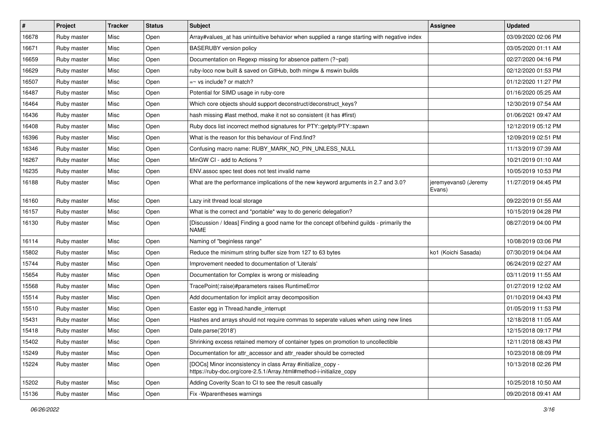| #     | Project     | <b>Tracker</b> | <b>Status</b> | <b>Subject</b>                                                                                                                      | Assignee                       | <b>Updated</b>      |
|-------|-------------|----------------|---------------|-------------------------------------------------------------------------------------------------------------------------------------|--------------------------------|---------------------|
| 16678 | Ruby master | Misc           | Open          | Array#values_at has unintuitive behavior when supplied a range starting with negative index                                         |                                | 03/09/2020 02:06 PM |
| 16671 | Ruby master | Misc           | Open          | <b>BASERUBY</b> version policy                                                                                                      |                                | 03/05/2020 01:11 AM |
| 16659 | Ruby master | Misc           | Open          | Documentation on Regexp missing for absence pattern (?~pat)                                                                         |                                | 02/27/2020 04:16 PM |
| 16629 | Ruby master | Misc           | Open          | ruby-loco now built & saved on GitHub, both mingw & mswin builds                                                                    |                                | 02/12/2020 01:53 PM |
| 16507 | Ruby master | Misc           | Open          | $=$ vs include? or match?                                                                                                           |                                | 01/12/2020 11:27 PM |
| 16487 | Ruby master | Misc           | Open          | Potential for SIMD usage in ruby-core                                                                                               |                                | 01/16/2020 05:25 AM |
| 16464 | Ruby master | Misc           | Open          | Which core objects should support deconstruct/deconstruct_keys?                                                                     |                                | 12/30/2019 07:54 AM |
| 16436 | Ruby master | Misc           | Open          | hash missing #last method, make it not so consistent (it has #first)                                                                |                                | 01/06/2021 09:47 AM |
| 16408 | Ruby master | Misc           | Open          | Ruby docs list incorrect method signatures for PTY::getpty/PTY::spawn                                                               |                                | 12/12/2019 05:12 PM |
| 16396 | Ruby master | Misc           | Open          | What is the reason for this behaviour of Find.find?                                                                                 |                                | 12/09/2019 02:51 PM |
| 16346 | Ruby master | Misc           | Open          | Confusing macro name: RUBY_MARK_NO_PIN_UNLESS_NULL                                                                                  |                                | 11/13/2019 07:39 AM |
| 16267 | Ruby master | Misc           | Open          | MinGW CI - add to Actions ?                                                                                                         |                                | 10/21/2019 01:10 AM |
| 16235 | Ruby master | Misc           | Open          | ENV assoc spec test does not test invalid name                                                                                      |                                | 10/05/2019 10:53 PM |
| 16188 | Ruby master | Misc           | Open          | What are the performance implications of the new keyword arguments in 2.7 and 3.0?                                                  | jeremyevans0 (Jeremy<br>Evans) | 11/27/2019 04:45 PM |
| 16160 | Ruby master | Misc           | Open          | Lazy init thread local storage                                                                                                      |                                | 09/22/2019 01:55 AM |
| 16157 | Ruby master | Misc           | Open          | What is the correct and *portable* way to do generic delegation?                                                                    |                                | 10/15/2019 04:28 PM |
| 16130 | Ruby master | Misc           | Open          | [Discussion / Ideas] Finding a good name for the concept of/behind guilds - primarily the<br>NAME                                   |                                | 08/27/2019 04:00 PM |
| 16114 | Ruby master | Misc           | Open          | Naming of "beginless range"                                                                                                         |                                | 10/08/2019 03:06 PM |
| 15802 | Ruby master | Misc           | Open          | Reduce the minimum string buffer size from 127 to 63 bytes                                                                          | ko1 (Koichi Sasada)            | 07/30/2019 04:04 AM |
| 15744 | Ruby master | Misc           | Open          | Improvement needed to documentation of 'Literals'                                                                                   |                                | 06/24/2019 02:27 AM |
| 15654 | Ruby master | Misc           | Open          | Documentation for Complex is wrong or misleading                                                                                    |                                | 03/11/2019 11:55 AM |
| 15568 | Ruby master | Misc           | Open          | TracePoint(:raise)#parameters raises RuntimeError                                                                                   |                                | 01/27/2019 12:02 AM |
| 15514 | Ruby master | Misc           | Open          | Add documentation for implicit array decomposition                                                                                  |                                | 01/10/2019 04:43 PM |
| 15510 | Ruby master | Misc           | Open          | Easter egg in Thread.handle_interrupt                                                                                               |                                | 01/05/2019 11:53 PM |
| 15431 | Ruby master | Misc           | Open          | Hashes and arrays should not require commas to seperate values when using new lines                                                 |                                | 12/18/2018 11:05 AM |
| 15418 | Ruby master | Misc           | Open          | Date.parse('2018')                                                                                                                  |                                | 12/15/2018 09:17 PM |
| 15402 | Ruby master | Misc           | Open          | Shrinking excess retained memory of container types on promotion to uncollectible                                                   |                                | 12/11/2018 08:43 PM |
| 15249 | Ruby master | Misc           | Open          | Documentation for attr accessor and attr reader should be corrected                                                                 |                                | 10/23/2018 08:09 PM |
| 15224 | Ruby master | Misc           | Open          | [DOCs] Minor inconsistency in class Array #initialize_copy -<br>https://ruby-doc.org/core-2.5.1/Array.html#method-i-initialize copy |                                | 10/13/2018 02:26 PM |
| 15202 | Ruby master | Misc           | Open          | Adding Coverity Scan to CI to see the result casually                                                                               |                                | 10/25/2018 10:50 AM |
| 15136 | Ruby master | Misc           | Open          | Fix - Wparentheses warnings                                                                                                         |                                | 09/20/2018 09:41 AM |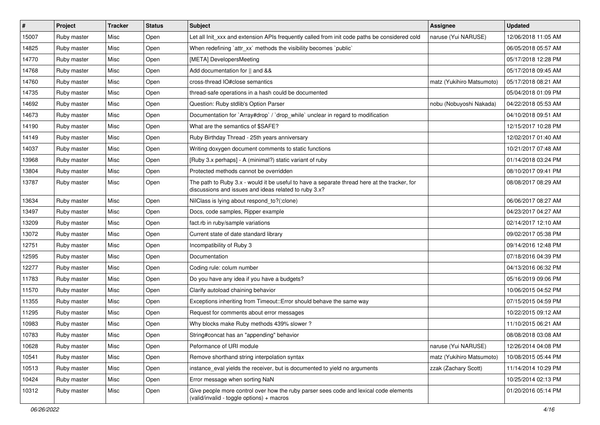| $\vert$ # | Project     | <b>Tracker</b> | <b>Status</b> | <b>Subject</b>                                                                                                                                        | <b>Assignee</b>           | <b>Updated</b>      |
|-----------|-------------|----------------|---------------|-------------------------------------------------------------------------------------------------------------------------------------------------------|---------------------------|---------------------|
| 15007     | Ruby master | Misc           | Open          | Let all Init_xxx and extension APIs frequently called from init code paths be considered cold                                                         | naruse (Yui NARUSE)       | 12/06/2018 11:05 AM |
| 14825     | Ruby master | Misc           | Open          | When redefining `attr_xx` methods the visibility becomes `public`                                                                                     |                           | 06/05/2018 05:57 AM |
| 14770     | Ruby master | Misc           | Open          | [META] DevelopersMeeting                                                                                                                              |                           | 05/17/2018 12:28 PM |
| 14768     | Ruby master | Misc           | Open          | Add documentation for    and &&                                                                                                                       |                           | 05/17/2018 09:45 AM |
| 14760     | Ruby master | Misc           | Open          | cross-thread IO#close semantics                                                                                                                       | matz (Yukihiro Matsumoto) | 05/17/2018 08:21 AM |
| 14735     | Ruby master | Misc           | Open          | thread-safe operations in a hash could be documented                                                                                                  |                           | 05/04/2018 01:09 PM |
| 14692     | Ruby master | Misc           | Open          | Question: Ruby stdlib's Option Parser                                                                                                                 | nobu (Nobuyoshi Nakada)   | 04/22/2018 05:53 AM |
| 14673     | Ruby master | Misc           | Open          | Documentation for `Array#drop` / `drop_while` unclear in regard to modification                                                                       |                           | 04/10/2018 09:51 AM |
| 14190     | Ruby master | Misc           | Open          | What are the semantics of \$SAFE?                                                                                                                     |                           | 12/15/2017 10:28 PM |
| 14149     | Ruby master | Misc           | Open          | Ruby Birthday Thread - 25th years anniversary                                                                                                         |                           | 12/02/2017 01:40 AM |
| 14037     | Ruby master | Misc           | Open          | Writing doxygen document comments to static functions                                                                                                 |                           | 10/21/2017 07:48 AM |
| 13968     | Ruby master | Misc           | Open          | [Ruby 3.x perhaps] - A (minimal?) static variant of ruby                                                                                              |                           | 01/14/2018 03:24 PM |
| 13804     | Ruby master | Misc           | Open          | Protected methods cannot be overridden                                                                                                                |                           | 08/10/2017 09:41 PM |
| 13787     | Ruby master | Misc           | Open          | The path to Ruby 3.x - would it be useful to have a separate thread here at the tracker, for<br>discussions and issues and ideas related to ruby 3.x? |                           | 08/08/2017 08:29 AM |
| 13634     | Ruby master | Misc           | Open          | NilClass is lying about respond_to?(:clone)                                                                                                           |                           | 06/06/2017 08:27 AM |
| 13497     | Ruby master | Misc           | Open          | Docs, code samples, Ripper example                                                                                                                    |                           | 04/23/2017 04:27 AM |
| 13209     | Ruby master | Misc           | Open          | fact.rb in ruby/sample variations                                                                                                                     |                           | 02/14/2017 12:10 AM |
| 13072     | Ruby master | Misc           | Open          | Current state of date standard library                                                                                                                |                           | 09/02/2017 05:38 PM |
| 12751     | Ruby master | Misc           | Open          | Incompatibility of Ruby 3                                                                                                                             |                           | 09/14/2016 12:48 PM |
| 12595     | Ruby master | Misc           | Open          | Documentation                                                                                                                                         |                           | 07/18/2016 04:39 PM |
| 12277     | Ruby master | Misc           | Open          | Coding rule: colum number                                                                                                                             |                           | 04/13/2016 06:32 PM |
| 11783     | Ruby master | Misc           | Open          | Do you have any idea if you have a budgets?                                                                                                           |                           | 05/16/2019 09:06 PM |
| 11570     | Ruby master | Misc           | Open          | Clarify autoload chaining behavior                                                                                                                    |                           | 10/06/2015 04:52 PM |
| 11355     | Ruby master | Misc           | Open          | Exceptions inheriting from Timeout:: Error should behave the same way                                                                                 |                           | 07/15/2015 04:59 PM |
| 11295     | Ruby master | Misc           | Open          | Request for comments about error messages                                                                                                             |                           | 10/22/2015 09:12 AM |
| 10983     | Ruby master | Misc           | Open          | Why blocks make Ruby methods 439% slower?                                                                                                             |                           | 11/10/2015 06:21 AM |
| 10783     | Ruby master | Misc           | Open          | String#concat has an "appending" behavior                                                                                                             |                           | 08/08/2018 03:08 AM |
| 10628     | Ruby master | Misc           | Open          | Peformance of URI module                                                                                                                              | naruse (Yui NARUSE)       | 12/26/2014 04:08 PM |
| 10541     | Ruby master | Misc           | Open          | Remove shorthand string interpolation syntax                                                                                                          | matz (Yukihiro Matsumoto) | 10/08/2015 05:44 PM |
| 10513     | Ruby master | Misc           | Open          | instance_eval yields the receiver, but is documented to yield no arguments                                                                            | zzak (Zachary Scott)      | 11/14/2014 10:29 PM |
| 10424     | Ruby master | Misc           | Open          | Error message when sorting NaN                                                                                                                        |                           | 10/25/2014 02:13 PM |
| 10312     | Ruby master | Misc           | Open          | Give people more control over how the ruby parser sees code and lexical code elements<br>(valid/invalid - toggle options) + macros                    |                           | 01/20/2016 05:14 PM |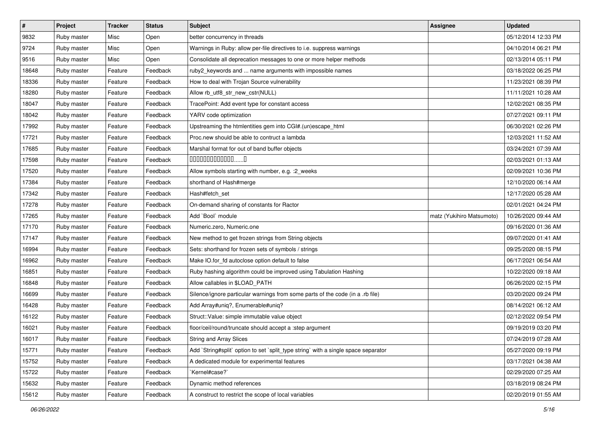| $\vert$ # | Project     | <b>Tracker</b> | <b>Status</b> | Subject                                                                            | Assignee                  | <b>Updated</b>      |
|-----------|-------------|----------------|---------------|------------------------------------------------------------------------------------|---------------------------|---------------------|
| 9832      | Ruby master | Misc           | Open          | better concurrency in threads                                                      |                           | 05/12/2014 12:33 PM |
| 9724      | Ruby master | Misc           | Open          | Warnings in Ruby: allow per-file directives to i.e. suppress warnings              |                           | 04/10/2014 06:21 PM |
| 9516      | Ruby master | Misc           | Open          | Consolidate all deprecation messages to one or more helper methods                 |                           | 02/13/2014 05:11 PM |
| 18648     | Ruby master | Feature        | Feedback      | ruby2_keywords and  name arguments with impossible names                           |                           | 03/18/2022 06:25 PM |
| 18336     | Ruby master | Feature        | Feedback      | How to deal with Trojan Source vulnerability                                       |                           | 11/23/2021 08:39 PM |
| 18280     | Ruby master | Feature        | Feedback      | Allow rb_utf8_str_new_cstr(NULL)                                                   |                           | 11/11/2021 10:28 AM |
| 18047     | Ruby master | Feature        | Feedback      | TracePoint: Add event type for constant access                                     |                           | 12/02/2021 08:35 PM |
| 18042     | Ruby master | Feature        | Feedback      | YARV code optimization                                                             |                           | 07/27/2021 09:11 PM |
| 17992     | Ruby master | Feature        | Feedback      | Upstreaming the htmlentities gem into CGI#.(un)escape_html                         |                           | 06/30/2021 02:26 PM |
| 17721     | Ruby master | Feature        | Feedback      | Proc.new should be able to contruct a lambda                                       |                           | 12/03/2021 11:52 AM |
| 17685     | Ruby master | Feature        | Feedback      | Marshal format for out of band buffer objects                                      |                           | 03/24/2021 07:39 AM |
| 17598     | Ruby master | Feature        | Feedback      | $0000000000000010$                                                                 |                           | 02/03/2021 01:13 AM |
| 17520     | Ruby master | Feature        | Feedback      | Allow symbols starting with number, e.g. :2_weeks                                  |                           | 02/09/2021 10:36 PM |
| 17384     | Ruby master | Feature        | Feedback      | shorthand of Hash#merge                                                            |                           | 12/10/2020 06:14 AM |
| 17342     | Ruby master | Feature        | Feedback      | Hash#fetch set                                                                     |                           | 12/17/2020 05:28 AM |
| 17278     | Ruby master | Feature        | Feedback      | On-demand sharing of constants for Ractor                                          |                           | 02/01/2021 04:24 PM |
| 17265     | Ruby master | Feature        | Feedback      | Add `Bool` module                                                                  | matz (Yukihiro Matsumoto) | 10/26/2020 09:44 AM |
| 17170     | Ruby master | Feature        | Feedback      | Numeric.zero, Numeric.one                                                          |                           | 09/16/2020 01:36 AM |
| 17147     | Ruby master | Feature        | Feedback      | New method to get frozen strings from String objects                               |                           | 09/07/2020 01:41 AM |
| 16994     | Ruby master | Feature        | Feedback      | Sets: shorthand for frozen sets of symbols / strings                               |                           | 09/25/2020 08:15 PM |
| 16962     | Ruby master | Feature        | Feedback      | Make IO.for_fd autoclose option default to false                                   |                           | 06/17/2021 06:54 AM |
| 16851     | Ruby master | Feature        | Feedback      | Ruby hashing algorithm could be improved using Tabulation Hashing                  |                           | 10/22/2020 09:18 AM |
| 16848     | Ruby master | Feature        | Feedback      | Allow callables in \$LOAD_PATH                                                     |                           | 06/26/2020 02:15 PM |
| 16699     | Ruby master | Feature        | Feedback      | Silence/ignore particular warnings from some parts of the code (in a .rb file)     |                           | 03/20/2020 09:24 PM |
| 16428     | Ruby master | Feature        | Feedback      | Add Array#uniq?, Enumerable#uniq?                                                  |                           | 08/14/2021 06:12 AM |
| 16122     | Ruby master | Feature        | Feedback      | Struct::Value: simple immutable value object                                       |                           | 02/12/2022 09:54 PM |
| 16021     | Ruby master | Feature        | Feedback      | floor/ceil/round/truncate should accept a :step argument                           |                           | 09/19/2019 03:20 PM |
| 16017     | Ruby master | Feature        | Feedback      | String and Array Slices                                                            |                           | 07/24/2019 07:28 AM |
| 15771     | Ruby master | Feature        | Feedback      | Add `String#split` option to set `split_type string` with a single space separator |                           | 05/27/2020 09:19 PM |
| 15752     | Ruby master | Feature        | Feedback      | A dedicated module for experimental features                                       |                           | 03/17/2021 04:38 AM |
| 15722     | Ruby master | Feature        | Feedback      | `Kernel#case?`                                                                     |                           | 02/29/2020 07:25 AM |
| 15632     | Ruby master | Feature        | Feedback      | Dynamic method references                                                          |                           | 03/18/2019 08:24 PM |
| 15612     | Ruby master | Feature        | Feedback      | A construct to restrict the scope of local variables                               |                           | 02/20/2019 01:55 AM |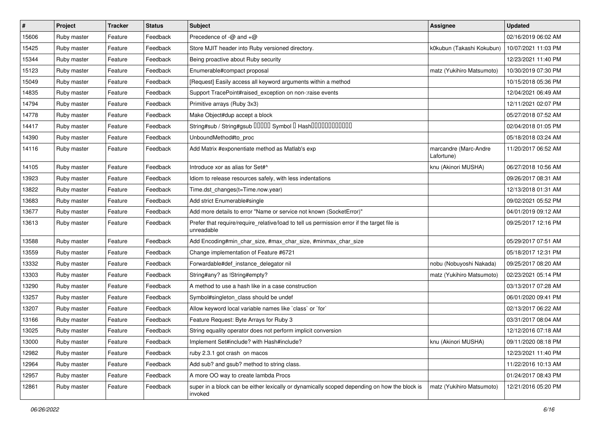| $\vert$ # | Project     | <b>Tracker</b> | <b>Status</b> | <b>Subject</b>                                                                                            | <b>Assignee</b>                     | Updated             |
|-----------|-------------|----------------|---------------|-----------------------------------------------------------------------------------------------------------|-------------------------------------|---------------------|
| 15606     | Ruby master | Feature        | Feedback      | Precedence of -@ and +@                                                                                   |                                     | 02/16/2019 06:02 AM |
| 15425     | Ruby master | Feature        | Feedback      | Store MJIT header into Ruby versioned directory.                                                          | k0kubun (Takashi Kokubun)           | 10/07/2021 11:03 PM |
| 15344     | Ruby master | Feature        | Feedback      | Being proactive about Ruby security                                                                       |                                     | 12/23/2021 11:40 PM |
| 15123     | Ruby master | Feature        | Feedback      | Enumerable#compact proposal                                                                               | matz (Yukihiro Matsumoto)           | 10/30/2019 07:30 PM |
| 15049     | Ruby master | Feature        | Feedback      | [Request] Easily access all keyword arguments within a method                                             |                                     | 10/15/2018 05:36 PM |
| 14835     | Ruby master | Feature        | Feedback      | Support TracePoint#raised_exception on non-:raise events                                                  |                                     | 12/04/2021 06:49 AM |
| 14794     | Ruby master | Feature        | Feedback      | Primitive arrays (Ruby 3x3)                                                                               |                                     | 12/11/2021 02:07 PM |
| 14778     | Ruby master | Feature        | Feedback      | Make Object#dup accept a block                                                                            |                                     | 05/27/2018 07:52 AM |
| 14417     | Ruby master | Feature        | Feedback      | String#sub / String#gsub 00000 Symbol 0 Hash000000000000                                                  |                                     | 02/04/2018 01:05 PM |
| 14390     | Ruby master | Feature        | Feedback      | UnboundMethod#to_proc                                                                                     |                                     | 05/18/2018 03:24 AM |
| 14116     | Ruby master | Feature        | Feedback      | Add Matrix #exponentiate method as Matlab's exp                                                           | marcandre (Marc-Andre<br>Lafortune) | 11/20/2017 06:52 AM |
| 14105     | Ruby master | Feature        | Feedback      | Introduce xor as alias for Set#^                                                                          | knu (Akinori MUSHA)                 | 06/27/2018 10:56 AM |
| 13923     | Ruby master | Feature        | Feedback      | Idiom to release resources safely, with less indentations                                                 |                                     | 09/26/2017 08:31 AM |
| 13822     | Ruby master | Feature        | Feedback      | Time.dst_changes(t=Time.now.year)                                                                         |                                     | 12/13/2018 01:31 AM |
| 13683     | Ruby master | Feature        | Feedback      | Add strict Enumerable#single                                                                              |                                     | 09/02/2021 05:52 PM |
| 13677     | Ruby master | Feature        | Feedback      | Add more details to error "Name or service not known (SocketError)"                                       |                                     | 04/01/2019 09:12 AM |
| 13613     | Ruby master | Feature        | Feedback      | Prefer that require/require_relative/load to tell us permission error if the target file is<br>unreadable |                                     | 09/25/2017 12:16 PM |
| 13588     | Ruby master | Feature        | Feedback      | Add Encoding#min_char_size, #max_char_size, #minmax_char_size                                             |                                     | 05/29/2017 07:51 AM |
| 13559     | Ruby master | Feature        | Feedback      | Change implementation of Feature #6721                                                                    |                                     | 05/18/2017 12:31 PM |
| 13332     | Ruby master | Feature        | Feedback      | Forwardable#def_instance_delegator nil                                                                    | nobu (Nobuyoshi Nakada)             | 09/25/2017 08:20 AM |
| 13303     | Ruby master | Feature        | Feedback      | String#any? as !String#empty?                                                                             | matz (Yukihiro Matsumoto)           | 02/23/2021 05:14 PM |
| 13290     | Ruby master | Feature        | Feedback      | A method to use a hash like in a case construction                                                        |                                     | 03/13/2017 07:28 AM |
| 13257     | Ruby master | Feature        | Feedback      | Symbol#singleton_class should be undef                                                                    |                                     | 06/01/2020 09:41 PM |
| 13207     | Ruby master | Feature        | Feedback      | Allow keyword local variable names like `class` or `for`                                                  |                                     | 02/13/2017 06:22 AM |
| 13166     | Ruby master | Feature        | Feedback      | Feature Request: Byte Arrays for Ruby 3                                                                   |                                     | 03/31/2017 08:04 AM |
| 13025     | Ruby master | Feature        | Feedback      | String equality operator does not perform implicit conversion                                             |                                     | 12/12/2016 07:18 AM |
| 13000     | Ruby master | Feature        | Feedback      | Implement Set#include? with Hash#include?                                                                 | knu (Akinori MUSHA)                 | 09/11/2020 08:18 PM |
| 12982     | Ruby master | Feature        | Feedback      | ruby 2.3.1 got crash on macos                                                                             |                                     | 12/23/2021 11:40 PM |
| 12964     | Ruby master | Feature        | Feedback      | Add sub? and gsub? method to string class.                                                                |                                     | 11/22/2016 10:13 AM |
| 12957     | Ruby master | Feature        | Feedback      | A more OO way to create lambda Procs                                                                      |                                     | 01/24/2017 08:43 PM |
| 12861     | Ruby master | Feature        | Feedback      | super in a block can be either lexically or dynamically scoped depending on how the block is<br>invoked   | matz (Yukihiro Matsumoto)           | 12/21/2016 05:20 PM |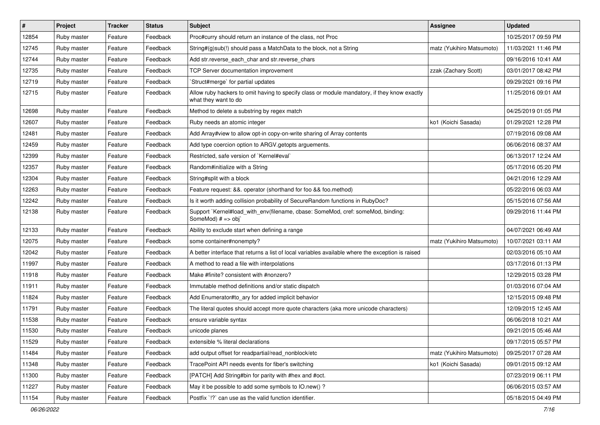| $\sharp$ | Project     | <b>Tracker</b> | <b>Status</b> | Subject                                                                                                              | <b>Assignee</b>           | <b>Updated</b>      |
|----------|-------------|----------------|---------------|----------------------------------------------------------------------------------------------------------------------|---------------------------|---------------------|
| 12854    | Ruby master | Feature        | Feedback      | Proc#curry should return an instance of the class, not Proc                                                          |                           | 10/25/2017 09:59 PM |
| 12745    | Ruby master | Feature        | Feedback      | String#(g)sub(!) should pass a MatchData to the block, not a String                                                  | matz (Yukihiro Matsumoto) | 11/03/2021 11:46 PM |
| 12744    | Ruby master | Feature        | Feedback      | Add str.reverse_each_char and str.reverse_chars                                                                      |                           | 09/16/2016 10:41 AM |
| 12735    | Ruby master | Feature        | Feedback      | TCP Server documentation improvement                                                                                 | zzak (Zachary Scott)      | 03/01/2017 08:42 PM |
| 12719    | Ruby master | Feature        | Feedback      | Struct#merge` for partial updates                                                                                    |                           | 09/29/2021 09:16 PM |
| 12715    | Ruby master | Feature        | Feedback      | Allow ruby hackers to omit having to specify class or module mandatory, if they know exactly<br>what they want to do |                           | 11/25/2016 09:01 AM |
| 12698    | Ruby master | Feature        | Feedback      | Method to delete a substring by regex match                                                                          |                           | 04/25/2019 01:05 PM |
| 12607    | Ruby master | Feature        | Feedback      | Ruby needs an atomic integer                                                                                         | ko1 (Koichi Sasada)       | 01/29/2021 12:28 PM |
| 12481    | Ruby master | Feature        | Feedback      | Add Array#view to allow opt-in copy-on-write sharing of Array contents                                               |                           | 07/19/2016 09:08 AM |
| 12459    | Ruby master | Feature        | Feedback      | Add type coercion option to ARGV getopts arguements.                                                                 |                           | 06/06/2016 08:37 AM |
| 12399    | Ruby master | Feature        | Feedback      | Restricted, safe version of `Kernel#eval`                                                                            |                           | 06/13/2017 12:24 AM |
| 12357    | Ruby master | Feature        | Feedback      | Random#initialize with a String                                                                                      |                           | 05/17/2016 05:20 PM |
| 12304    | Ruby master | Feature        | Feedback      | String#split with a block                                                                                            |                           | 04/21/2016 12:29 AM |
| 12263    | Ruby master | Feature        | Feedback      | Feature request: &&. operator (shorthand for foo && foo.method)                                                      |                           | 05/22/2016 06:03 AM |
| 12242    | Ruby master | Feature        | Feedback      | Is it worth adding collision probability of SecureRandom functions in RubyDoc?                                       |                           | 05/15/2016 07:56 AM |
| 12138    | Ruby master | Feature        | Feedback      | Support `Kernel#load_with_env(filename, cbase: SomeMod, cref: someMod, binding:<br>SomeMod) # => obj`                |                           | 09/29/2016 11:44 PM |
| 12133    | Ruby master | Feature        | Feedback      | Ability to exclude start when defining a range                                                                       |                           | 04/07/2021 06:49 AM |
| 12075    | Ruby master | Feature        | Feedback      | some container#nonempty?                                                                                             | matz (Yukihiro Matsumoto) | 10/07/2021 03:11 AM |
| 12042    | Ruby master | Feature        | Feedback      | A better interface that returns a list of local variables available where the exception is raised                    |                           | 02/03/2016 05:10 AM |
| 11997    | Ruby master | Feature        | Feedback      | A method to read a file with interpolations                                                                          |                           | 03/17/2016 01:13 PM |
| 11918    | Ruby master | Feature        | Feedback      | Make #finite? consistent with #nonzero?                                                                              |                           | 12/29/2015 03:28 PM |
| 11911    | Ruby master | Feature        | Feedback      | Immutable method definitions and/or static dispatch                                                                  |                           | 01/03/2016 07:04 AM |
| 11824    | Ruby master | Feature        | Feedback      | Add Enumerator#to ary for added implicit behavior                                                                    |                           | 12/15/2015 09:48 PM |
| 11791    | Ruby master | Feature        | Feedback      | The literal quotes should accept more quote characters (aka more unicode characters)                                 |                           | 12/09/2015 12:45 AM |
| 11538    | Ruby master | Feature        | Feedback      | ensure variable syntax                                                                                               |                           | 06/06/2018 10:21 AM |
| 11530    | Ruby master | Feature        | Feedback      | unicode planes                                                                                                       |                           | 09/21/2015 05:46 AM |
| 11529    | Ruby master | Feature        | Feedback      | extensible % literal declarations                                                                                    |                           | 09/17/2015 05:57 PM |
| 11484    | Ruby master | Feature        | Feedback      | add output offset for readpartial/read_nonblock/etc                                                                  | matz (Yukihiro Matsumoto) | 09/25/2017 07:28 AM |
| 11348    | Ruby master | Feature        | Feedback      | TracePoint API needs events for fiber's switching                                                                    | ko1 (Koichi Sasada)       | 09/01/2015 09:12 AM |
| 11300    | Ruby master | Feature        | Feedback      | [PATCH] Add String#bin for parity with #hex and #oct.                                                                |                           | 07/23/2019 06:11 PM |
| 11227    | Ruby master | Feature        | Feedback      | May it be possible to add some symbols to IO.new() ?                                                                 |                           | 06/06/2015 03:57 AM |
| 11154    | Ruby master | Feature        | Feedback      | Postfix '!?' can use as the valid function identifier.                                                               |                           | 05/18/2015 04:49 PM |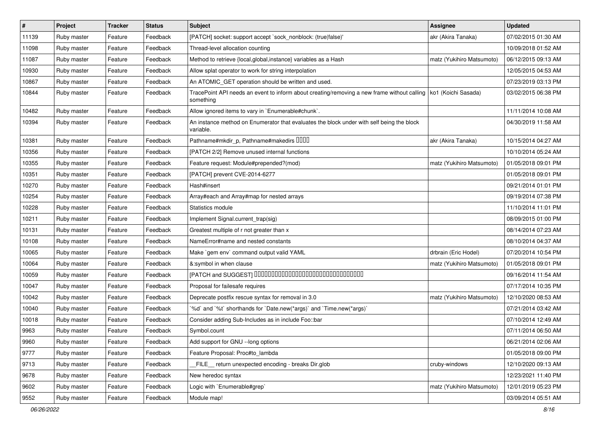| #     | Project     | <b>Tracker</b> | <b>Status</b> | <b>Subject</b>                                                                                                                 | <b>Assignee</b>           | <b>Updated</b>      |
|-------|-------------|----------------|---------------|--------------------------------------------------------------------------------------------------------------------------------|---------------------------|---------------------|
| 11139 | Ruby master | Feature        | Feedback      | [PATCH] socket: support accept `sock_nonblock: (true false)'                                                                   | akr (Akira Tanaka)        | 07/02/2015 01:30 AM |
| 11098 | Ruby master | Feature        | Feedback      | Thread-level allocation counting                                                                                               |                           | 10/09/2018 01:52 AM |
| 11087 | Ruby master | Feature        | Feedback      | Method to retrieve {local, global, instance} variables as a Hash                                                               | matz (Yukihiro Matsumoto) | 06/12/2015 09:13 AM |
| 10930 | Ruby master | Feature        | Feedback      | Allow splat operator to work for string interpolation                                                                          |                           | 12/05/2015 04:53 AM |
| 10867 | Ruby master | Feature        | Feedback      | An ATOMIC_GET operation should be written and used.                                                                            |                           | 07/23/2019 03:13 PM |
| 10844 | Ruby master | Feature        | Feedback      | TracePoint API needs an event to inform about creating/removing a new frame without calling   ko1 (Koichi Sasada)<br>something |                           | 03/02/2015 06:38 PM |
| 10482 | Ruby master | Feature        | Feedback      | Allow ignored items to vary in `Enumerable#chunk`.                                                                             |                           | 11/11/2014 10:08 AM |
| 10394 | Ruby master | Feature        | Feedback      | An instance method on Enumerator that evaluates the block under with self being the block<br>variable.                         |                           | 04/30/2019 11:58 AM |
| 10381 | Ruby master | Feature        | Feedback      | Pathname#mkdir_p, Pathname#makedirs UUUU                                                                                       | akr (Akira Tanaka)        | 10/15/2014 04:27 AM |
| 10356 | Ruby master | Feature        | Feedback      | [PATCH 2/2] Remove unused internal functions                                                                                   |                           | 10/10/2014 05:24 AM |
| 10355 | Ruby master | Feature        | Feedback      | Feature request: Module#prepended?(mod)                                                                                        | matz (Yukihiro Matsumoto) | 01/05/2018 09:01 PM |
| 10351 | Ruby master | Feature        | Feedback      | [PATCH] prevent CVE-2014-6277                                                                                                  |                           | 01/05/2018 09:01 PM |
| 10270 | Ruby master | Feature        | Feedback      | Hash#insert                                                                                                                    |                           | 09/21/2014 01:01 PM |
| 10254 | Ruby master | Feature        | Feedback      | Array#each and Array#map for nested arrays                                                                                     |                           | 09/19/2014 07:38 PM |
| 10228 | Ruby master | Feature        | Feedback      | Statistics module                                                                                                              |                           | 11/10/2014 11:01 PM |
| 10211 | Ruby master | Feature        | Feedback      | Implement Signal.current_trap(sig)                                                                                             |                           | 08/09/2015 01:00 PM |
| 10131 | Ruby master | Feature        | Feedback      | Greatest multiple of r not greater than x                                                                                      |                           | 08/14/2014 07:23 AM |
| 10108 | Ruby master | Feature        | Feedback      | NameError#name and nested constants                                                                                            |                           | 08/10/2014 04:37 AM |
| 10065 | Ruby master | Feature        | Feedback      | Make `gem env` command output valid YAML                                                                                       | drbrain (Eric Hodel)      | 07/20/2014 10:54 PM |
| 10064 | Ruby master | Feature        | Feedback      | &:symbol in when clause                                                                                                        | matz (Yukihiro Matsumoto) | 01/05/2018 09:01 PM |
| 10059 | Ruby master | Feature        | Feedback      | [PATCH and SUGGEST] 0000000000000000000000000000000                                                                            |                           | 09/16/2014 11:54 AM |
| 10047 | Ruby master | Feature        | Feedback      | Proposal for failesafe requires                                                                                                |                           | 07/17/2014 10:35 PM |
| 10042 | Ruby master | Feature        | Feedback      | Deprecate postfix rescue syntax for removal in 3.0                                                                             | matz (Yukihiro Matsumoto) | 12/10/2020 08:53 AM |
| 10040 | Ruby master | Feature        | Feedback      | '%d' and '%t' shorthands for 'Date.new(*args)' and 'Time.new(*args)'                                                           |                           | 07/21/2014 03:42 AM |
| 10018 | Ruby master | Feature        | Feedback      | Consider adding Sub-Includes as in include Foo::bar                                                                            |                           | 07/10/2014 12:49 AM |
| 9963  | Ruby master | Feature        | Feedback      | Symbol.count                                                                                                                   |                           | 07/11/2014 06:50 AM |
| 9960  | Ruby master | Feature        | Feedback      | Add support for GNU --long options                                                                                             |                           | 06/21/2014 02:06 AM |
| 9777  | Ruby master | Feature        | Feedback      | Feature Proposal: Proc#to_lambda                                                                                               |                           | 01/05/2018 09:00 PM |
| 9713  | Ruby master | Feature        | Feedback      | FILE return unexpected encoding - breaks Dir.glob                                                                              | cruby-windows             | 12/10/2020 09:13 AM |
| 9678  | Ruby master | Feature        | Feedback      | New heredoc syntax                                                                                                             |                           | 12/23/2021 11:40 PM |
| 9602  | Ruby master | Feature        | Feedback      | Logic with `Enumerable#grep`                                                                                                   | matz (Yukihiro Matsumoto) | 12/01/2019 05:23 PM |
| 9552  | Ruby master | Feature        | Feedback      | Module map!                                                                                                                    |                           | 03/09/2014 05:51 AM |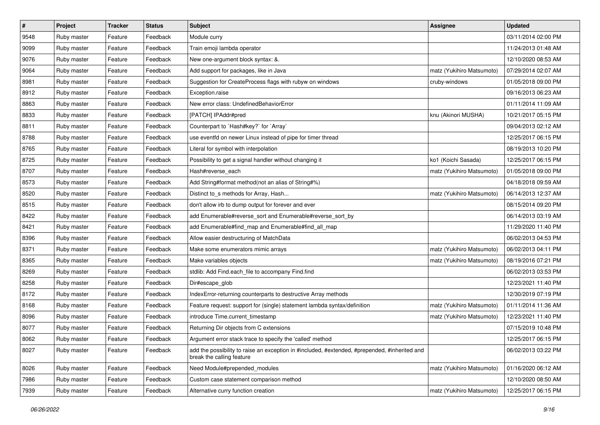| $\pmb{\#}$ | Project     | <b>Tracker</b> | <b>Status</b> | <b>Subject</b>                                                                                                             | Assignee                  | <b>Updated</b>      |
|------------|-------------|----------------|---------------|----------------------------------------------------------------------------------------------------------------------------|---------------------------|---------------------|
| 9548       | Ruby master | Feature        | Feedback      | Module curry                                                                                                               |                           | 03/11/2014 02:00 PM |
| 9099       | Ruby master | Feature        | Feedback      | Train emoji lambda operator                                                                                                |                           | 11/24/2013 01:48 AM |
| 9076       | Ruby master | Feature        | Feedback      | New one-argument block syntax: &.                                                                                          |                           | 12/10/2020 08:53 AM |
| 9064       | Ruby master | Feature        | Feedback      | Add support for packages, like in Java                                                                                     | matz (Yukihiro Matsumoto) | 07/29/2014 02:07 AM |
| 8981       | Ruby master | Feature        | Feedback      | Suggestion for CreateProcess flags with rubyw on windows                                                                   | cruby-windows             | 01/05/2018 09:00 PM |
| 8912       | Ruby master | Feature        | Feedback      | Exception.raise                                                                                                            |                           | 09/16/2013 06:23 AM |
| 8863       | Ruby master | Feature        | Feedback      | New error class: UndefinedBehaviorError                                                                                    |                           | 01/11/2014 11:09 AM |
| 8833       | Ruby master | Feature        | Feedback      | [PATCH] IPAddr#pred                                                                                                        | knu (Akinori MUSHA)       | 10/21/2017 05:15 PM |
| 8811       | Ruby master | Feature        | Feedback      | Counterpart to `Hash#key?` for `Array`                                                                                     |                           | 09/04/2013 02:12 AM |
| 8788       | Ruby master | Feature        | Feedback      | use eventfd on newer Linux instead of pipe for timer thread                                                                |                           | 12/25/2017 06:15 PM |
| 8765       | Ruby master | Feature        | Feedback      | Literal for symbol with interpolation                                                                                      |                           | 08/19/2013 10:20 PM |
| 8725       | Ruby master | Feature        | Feedback      | Possibility to get a signal handler without changing it                                                                    | ko1 (Koichi Sasada)       | 12/25/2017 06:15 PM |
| 8707       | Ruby master | Feature        | Feedback      | Hash#reverse_each                                                                                                          | matz (Yukihiro Matsumoto) | 01/05/2018 09:00 PM |
| 8573       | Ruby master | Feature        | Feedback      | Add String#format method(not an alias of String#%)                                                                         |                           | 04/18/2018 09:59 AM |
| 8520       | Ruby master | Feature        | Feedback      | Distinct to_s methods for Array, Hash                                                                                      | matz (Yukihiro Matsumoto) | 06/14/2013 12:37 AM |
| 8515       | Ruby master | Feature        | Feedback      | don't allow irb to dump output for forever and ever                                                                        |                           | 08/15/2014 09:20 PM |
| 8422       | Ruby master | Feature        | Feedback      | add Enumerable#reverse_sort and Enumerable#reverse_sort_by                                                                 |                           | 06/14/2013 03:19 AM |
| 8421       | Ruby master | Feature        | Feedback      | add Enumerable#find_map and Enumerable#find_all_map                                                                        |                           | 11/29/2020 11:40 PM |
| 8396       | Ruby master | Feature        | Feedback      | Allow easier destructuring of MatchData                                                                                    |                           | 06/02/2013 04:53 PM |
| 8371       | Ruby master | Feature        | Feedback      | Make some enumerators mimic arrays                                                                                         | matz (Yukihiro Matsumoto) | 06/02/2013 04:11 PM |
| 8365       | Ruby master | Feature        | Feedback      | Make variables objects                                                                                                     | matz (Yukihiro Matsumoto) | 08/19/2016 07:21 PM |
| 8269       | Ruby master | Feature        | Feedback      | stdlib: Add Find.each_file to accompany Find.find                                                                          |                           | 06/02/2013 03:53 PM |
| 8258       | Ruby master | Feature        | Feedback      | Dir#escape_glob                                                                                                            |                           | 12/23/2021 11:40 PM |
| 8172       | Ruby master | Feature        | Feedback      | IndexError-returning counterparts to destructive Array methods                                                             |                           | 12/30/2019 07:19 PM |
| 8168       | Ruby master | Feature        | Feedback      | Feature request: support for (single) statement lambda syntax/definition                                                   | matz (Yukihiro Matsumoto) | 01/11/2014 11:36 AM |
| 8096       | Ruby master | Feature        | Feedback      | introduce Time.current_timestamp                                                                                           | matz (Yukihiro Matsumoto) | 12/23/2021 11:40 PM |
| 8077       | Ruby master | Feature        | Feedback      | Returning Dir objects from C extensions                                                                                    |                           | 07/15/2019 10:48 PM |
| 8062       | Ruby master | Feature        | Feedback      | Argument error stack trace to specify the 'called' method                                                                  |                           | 12/25/2017 06:15 PM |
| 8027       | Ruby master | Feature        | Feedback      | add the possibility to raise an exception in #included, #extended, #prepended, #inherited and<br>break the calling feature |                           | 06/02/2013 03:22 PM |
| 8026       | Ruby master | Feature        | Feedback      | Need Module#prepended modules                                                                                              | matz (Yukihiro Matsumoto) | 01/16/2020 06:12 AM |
| 7986       | Ruby master | Feature        | Feedback      | Custom case statement comparison method                                                                                    |                           | 12/10/2020 08:50 AM |
| 7939       | Ruby master | Feature        | Feedback      | Alternative curry function creation                                                                                        | matz (Yukihiro Matsumoto) | 12/25/2017 06:15 PM |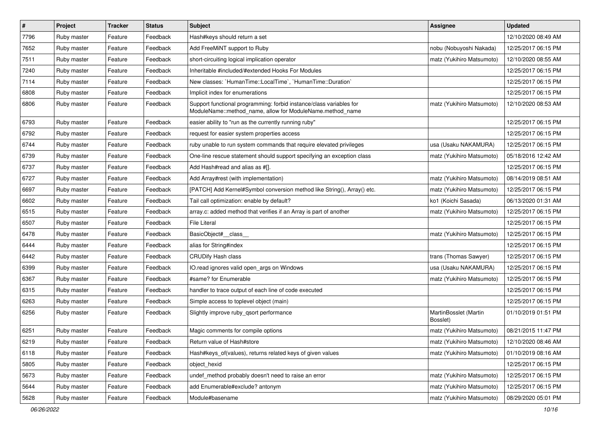| $\sharp$ | Project     | <b>Tracker</b> | <b>Status</b> | <b>Subject</b>                                                                                                                   | <b>Assignee</b>                   | <b>Updated</b>      |
|----------|-------------|----------------|---------------|----------------------------------------------------------------------------------------------------------------------------------|-----------------------------------|---------------------|
| 7796     | Ruby master | Feature        | Feedback      | Hash#keys should return a set                                                                                                    |                                   | 12/10/2020 08:49 AM |
| 7652     | Ruby master | Feature        | Feedback      | Add FreeMiNT support to Ruby                                                                                                     | nobu (Nobuyoshi Nakada)           | 12/25/2017 06:15 PM |
| 7511     | Ruby master | Feature        | Feedback      | short-circuiting logical implication operator                                                                                    | matz (Yukihiro Matsumoto)         | 12/10/2020 08:55 AM |
| 7240     | Ruby master | Feature        | Feedback      | Inheritable #included/#extended Hooks For Modules                                                                                |                                   | 12/25/2017 06:15 PM |
| 7114     | Ruby master | Feature        | Feedback      | New classes: `HumanTime::LocalTime`, `HumanTime::Duration`                                                                       |                                   | 12/25/2017 06:15 PM |
| 6808     | Ruby master | Feature        | Feedback      | Implicit index for enumerations                                                                                                  |                                   | 12/25/2017 06:15 PM |
| 6806     | Ruby master | Feature        | Feedback      | Support functional programming: forbid instance/class variables for<br>ModuleName::method_name, allow for ModuleName.method_name | matz (Yukihiro Matsumoto)         | 12/10/2020 08:53 AM |
| 6793     | Ruby master | Feature        | Feedback      | easier ability to "run as the currently running ruby"                                                                            |                                   | 12/25/2017 06:15 PM |
| 6792     | Ruby master | Feature        | Feedback      | request for easier system properties access                                                                                      |                                   | 12/25/2017 06:15 PM |
| 6744     | Ruby master | Feature        | Feedback      | ruby unable to run system commands that require elevated privileges                                                              | usa (Usaku NAKAMURA)              | 12/25/2017 06:15 PM |
| 6739     | Ruby master | Feature        | Feedback      | One-line rescue statement should support specifying an exception class                                                           | matz (Yukihiro Matsumoto)         | 05/18/2016 12:42 AM |
| 6737     | Ruby master | Feature        | Feedback      | Add Hash#read and alias as #[].                                                                                                  |                                   | 12/25/2017 06:15 PM |
| 6727     | Ruby master | Feature        | Feedback      | Add Array#rest (with implementation)                                                                                             | matz (Yukihiro Matsumoto)         | 08/14/2019 08:51 AM |
| 6697     | Ruby master | Feature        | Feedback      | [PATCH] Add Kernel#Symbol conversion method like String(), Array() etc.                                                          | matz (Yukihiro Matsumoto)         | 12/25/2017 06:15 PM |
| 6602     | Ruby master | Feature        | Feedback      | Tail call optimization: enable by default?                                                                                       | ko1 (Koichi Sasada)               | 06/13/2020 01:31 AM |
| 6515     | Ruby master | Feature        | Feedback      | array.c: added method that verifies if an Array is part of another                                                               | matz (Yukihiro Matsumoto)         | 12/25/2017 06:15 PM |
| 6507     | Ruby master | Feature        | Feedback      | File Literal                                                                                                                     |                                   | 12/25/2017 06:15 PM |
| 6478     | Ruby master | Feature        | Feedback      | BasicObject#_class_                                                                                                              | matz (Yukihiro Matsumoto)         | 12/25/2017 06:15 PM |
| 6444     | Ruby master | Feature        | Feedback      | alias for String#index                                                                                                           |                                   | 12/25/2017 06:15 PM |
| 6442     | Ruby master | Feature        | Feedback      | <b>CRUDify Hash class</b>                                                                                                        | trans (Thomas Sawyer)             | 12/25/2017 06:15 PM |
| 6399     | Ruby master | Feature        | Feedback      | IO.read ignores valid open_args on Windows                                                                                       | usa (Usaku NAKAMURA)              | 12/25/2017 06:15 PM |
| 6367     | Ruby master | Feature        | Feedback      | #same? for Enumerable                                                                                                            | matz (Yukihiro Matsumoto)         | 12/25/2017 06:15 PM |
| 6315     | Ruby master | Feature        | Feedback      | handler to trace output of each line of code executed                                                                            |                                   | 12/25/2017 06:15 PM |
| 6263     | Ruby master | Feature        | Feedback      | Simple access to toplevel object (main)                                                                                          |                                   | 12/25/2017 06:15 PM |
| 6256     | Ruby master | Feature        | Feedback      | Slightly improve ruby_qsort performance                                                                                          | MartinBosslet (Martin<br>Bosslet) | 01/10/2019 01:51 PM |
| 6251     | Ruby master | Feature        | Feedback      | Magic comments for compile options                                                                                               | matz (Yukihiro Matsumoto)         | 08/21/2015 11:47 PM |
| 6219     | Ruby master | Feature        | Feedback      | Return value of Hash#store                                                                                                       | matz (Yukihiro Matsumoto)         | 12/10/2020 08:46 AM |
| 6118     | Ruby master | Feature        | Feedback      | Hash#keys_of(values), returns related keys of given values                                                                       | matz (Yukihiro Matsumoto)         | 01/10/2019 08:16 AM |
| 5805     | Ruby master | Feature        | Feedback      | object_hexid                                                                                                                     |                                   | 12/25/2017 06:15 PM |
| 5673     | Ruby master | Feature        | Feedback      | undef_method probably doesn't need to raise an error                                                                             | matz (Yukihiro Matsumoto)         | 12/25/2017 06:15 PM |
| 5644     | Ruby master | Feature        | Feedback      | add Enumerable#exclude? antonym                                                                                                  | matz (Yukihiro Matsumoto)         | 12/25/2017 06:15 PM |
| 5628     | Ruby master | Feature        | Feedback      | Module#basename                                                                                                                  | matz (Yukihiro Matsumoto)         | 08/29/2020 05:01 PM |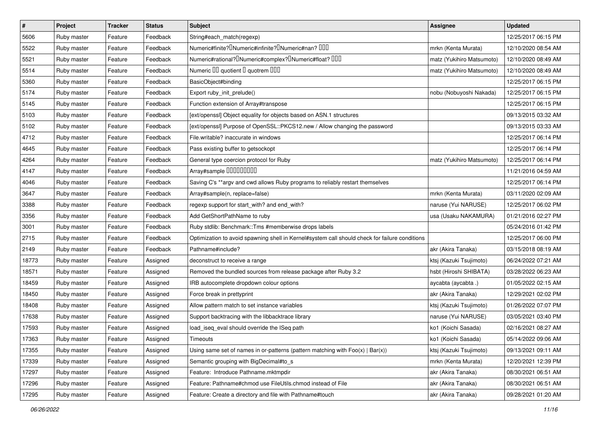| $\vert$ # | Project     | <b>Tracker</b> | <b>Status</b> | <b>Subject</b>                                                                                 | Assignee                  | <b>Updated</b>      |
|-----------|-------------|----------------|---------------|------------------------------------------------------------------------------------------------|---------------------------|---------------------|
| 5606      | Ruby master | Feature        | Feedback      | String#each_match(regexp)                                                                      |                           | 12/25/2017 06:15 PM |
| 5522      | Ruby master | Feature        | Feedback      | Numeric#finite? UNumeric#infinite? UNumeric#nan? UUU                                           | mrkn (Kenta Murata)       | 12/10/2020 08:54 AM |
| 5521      | Ruby master | Feature        | Feedback      | Numeric#rational? <sup>[]</sup> Numeric#complex? <sup>[]</sup> Numeric#float? <sup>[10]</sup>  | matz (Yukihiro Matsumoto) | 12/10/2020 08:49 AM |
| 5514      | Ruby master | Feature        | Feedback      | Numeric III quotient II quotrem IIII                                                           | matz (Yukihiro Matsumoto) | 12/10/2020 08:49 AM |
| 5360      | Ruby master | Feature        | Feedback      | BasicObject#binding                                                                            |                           | 12/25/2017 06:15 PM |
| 5174      | Ruby master | Feature        | Feedback      | Export ruby_init_prelude()                                                                     | nobu (Nobuyoshi Nakada)   | 12/25/2017 06:15 PM |
| 5145      | Ruby master | Feature        | Feedback      | Function extension of Array#transpose                                                          |                           | 12/25/2017 06:15 PM |
| 5103      | Ruby master | Feature        | Feedback      | [ext/openssl] Object equality for objects based on ASN.1 structures                            |                           | 09/13/2015 03:32 AM |
| 5102      | Ruby master | Feature        | Feedback      | [ext/openssl] Purpose of OpenSSL::PKCS12.new / Allow changing the password                     |                           | 09/13/2015 03:33 AM |
| 4712      | Ruby master | Feature        | Feedback      | File.writable? inaccurate in windows                                                           |                           | 12/25/2017 06:14 PM |
| 4645      | Ruby master | Feature        | Feedback      | Pass existing buffer to getsockopt                                                             |                           | 12/25/2017 06:14 PM |
| 4264      | Ruby master | Feature        | Feedback      | General type coercion protocol for Ruby                                                        | matz (Yukihiro Matsumoto) | 12/25/2017 06:14 PM |
| 4147      | Ruby master | Feature        | Feedback      | Array#sample 000000000                                                                         |                           | 11/21/2016 04:59 AM |
| 4046      | Ruby master | Feature        | Feedback      | Saving C's ** argv and cwd allows Ruby programs to reliably restart themselves                 |                           | 12/25/2017 06:14 PM |
| 3647      | Ruby master | Feature        | Feedback      | Array#sample(n, replace=false)                                                                 | mrkn (Kenta Murata)       | 03/11/2020 02:09 AM |
| 3388      | Ruby master | Feature        | Feedback      | regexp support for start_with? and end_with?                                                   | naruse (Yui NARUSE)       | 12/25/2017 06:02 PM |
| 3356      | Ruby master | Feature        | Feedback      | Add GetShortPathName to ruby                                                                   | usa (Usaku NAKAMURA)      | 01/21/2016 02:27 PM |
| 3001      | Ruby master | Feature        | Feedback      | Ruby stdlib: Benchmark::Tms #memberwise drops labels                                           |                           | 05/24/2016 01:42 PM |
| 2715      | Ruby master | Feature        | Feedback      | Optimization to avoid spawning shell in Kernel#system call should check for failure conditions |                           | 12/25/2017 06:00 PM |
| 2149      | Ruby master | Feature        | Feedback      | Pathname#include?                                                                              | akr (Akira Tanaka)        | 03/15/2018 08:19 AM |
| 18773     | Ruby master | Feature        | Assigned      | deconstruct to receive a range                                                                 | ktsj (Kazuki Tsujimoto)   | 06/24/2022 07:21 AM |
| 18571     | Ruby master | Feature        | Assigned      | Removed the bundled sources from release package after Ruby 3.2                                | hsbt (Hiroshi SHIBATA)    | 03/28/2022 06:23 AM |
| 18459     | Ruby master | Feature        | Assigned      | IRB autocomplete dropdown colour options                                                       | aycabta (aycabta.)        | 01/05/2022 02:15 AM |
| 18450     | Ruby master | Feature        | Assigned      | Force break in prettyprint                                                                     | akr (Akira Tanaka)        | 12/29/2021 02:02 PM |
| 18408     | Ruby master | Feature        | Assigned      | Allow pattern match to set instance variables                                                  | ktsj (Kazuki Tsujimoto)   | 01/26/2022 07:07 PM |
| 17638     | Ruby master | Feature        | Assigned      | Support backtracing with the libbacktrace library                                              | naruse (Yui NARUSE)       | 03/05/2021 03:40 PM |
| 17593     | Ruby master | Feature        | Assigned      | load_iseq_eval should override the ISeq path                                                   | ko1 (Koichi Sasada)       | 02/16/2021 08:27 AM |
| 17363     | Ruby master | Feature        | Assigned      | Timeouts                                                                                       | ko1 (Koichi Sasada)       | 05/14/2022 09:06 AM |
| 17355     | Ruby master | Feature        | Assigned      | Using same set of names in or-patterns (pattern matching with $Foo(x)   Bar(x)$ )              | ktsj (Kazuki Tsujimoto)   | 09/13/2021 09:11 AM |
| 17339     | Ruby master | Feature        | Assigned      | Semantic grouping with BigDecimal#to_s                                                         | mrkn (Kenta Murata)       | 12/20/2021 12:39 PM |
| 17297     | Ruby master | Feature        | Assigned      | Feature: Introduce Pathname.mktmpdir                                                           | akr (Akira Tanaka)        | 08/30/2021 06:51 AM |
| 17296     | Ruby master | Feature        | Assigned      | Feature: Pathname#chmod use FileUtils.chmod instead of File                                    | akr (Akira Tanaka)        | 08/30/2021 06:51 AM |
| 17295     | Ruby master | Feature        | Assigned      | Feature: Create a directory and file with Pathname#touch                                       | akr (Akira Tanaka)        | 09/28/2021 01:20 AM |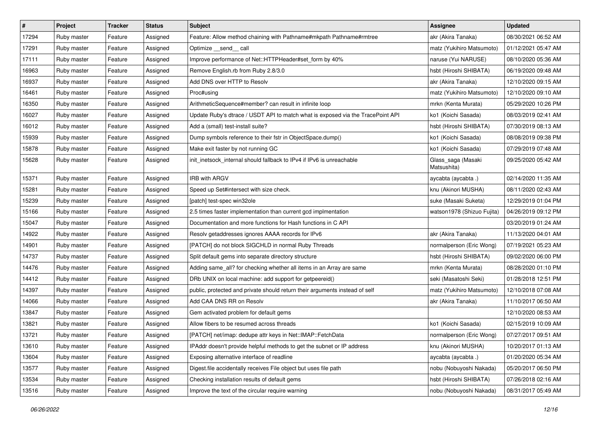| $\vert$ # | Project     | <b>Tracker</b> | <b>Status</b> | <b>Subject</b>                                                                  | <b>Assignee</b>                   | <b>Updated</b>      |
|-----------|-------------|----------------|---------------|---------------------------------------------------------------------------------|-----------------------------------|---------------------|
| 17294     | Ruby master | Feature        | Assigned      | Feature: Allow method chaining with Pathname#mkpath Pathname#rmtree             | akr (Akira Tanaka)                | 08/30/2021 06:52 AM |
| 17291     | Ruby master | Feature        | Assigned      | Optimize __send__ call                                                          | matz (Yukihiro Matsumoto)         | 01/12/2021 05:47 AM |
| 17111     | Ruby master | Feature        | Assigned      | Improve performance of Net::HTTPHeader#set_form by 40%                          | naruse (Yui NARUSE)               | 08/10/2020 05:36 AM |
| 16963     | Ruby master | Feature        | Assigned      | Remove English.rb from Ruby 2.8/3.0                                             | hsbt (Hiroshi SHIBATA)            | 06/19/2020 09:48 AM |
| 16937     | Ruby master | Feature        | Assigned      | Add DNS over HTTP to Resolv                                                     | akr (Akira Tanaka)                | 12/10/2020 09:15 AM |
| 16461     | Ruby master | Feature        | Assigned      | Proc#using                                                                      | matz (Yukihiro Matsumoto)         | 12/10/2020 09:10 AM |
| 16350     | Ruby master | Feature        | Assigned      | ArithmeticSequence#member? can result in infinite loop                          | mrkn (Kenta Murata)               | 05/29/2020 10:26 PM |
| 16027     | Ruby master | Feature        | Assigned      | Update Ruby's dtrace / USDT API to match what is exposed via the TracePoint API | ko1 (Koichi Sasada)               | 08/03/2019 02:41 AM |
| 16012     | Ruby master | Feature        | Assigned      | Add a (small) test-install suite?                                               | hsbt (Hiroshi SHIBATA)            | 07/30/2019 08:13 AM |
| 15939     | Ruby master | Feature        | Assigned      | Dump symbols reference to their fstr in ObjectSpace.dump()                      | ko1 (Koichi Sasada)               | 08/08/2019 09:38 PM |
| 15878     | Ruby master | Feature        | Assigned      | Make exit faster by not running GC                                              | ko1 (Koichi Sasada)               | 07/29/2019 07:48 AM |
| 15628     | Ruby master | Feature        | Assigned      | init_inetsock_internal should fallback to IPv4 if IPv6 is unreachable           | Glass_saga (Masaki<br>Matsushita) | 09/25/2020 05:42 AM |
| 15371     | Ruby master | Feature        | Assigned      | IRB with ARGV                                                                   | aycabta (aycabta .)               | 02/14/2020 11:35 AM |
| 15281     | Ruby master | Feature        | Assigned      | Speed up Set#intersect with size check.                                         | knu (Akinori MUSHA)               | 08/11/2020 02:43 AM |
| 15239     | Ruby master | Feature        | Assigned      | [patch] test-spec win32ole                                                      | suke (Masaki Suketa)              | 12/29/2019 01:04 PM |
| 15166     | Ruby master | Feature        | Assigned      | 2.5 times faster implementation than current gcd implmentation                  | watson1978 (Shizuo Fujita)        | 04/26/2019 09:12 PM |
| 15047     | Ruby master | Feature        | Assigned      | Documentation and more functions for Hash functions in C API                    |                                   | 03/20/2019 01:24 AM |
| 14922     | Ruby master | Feature        | Assigned      | Resolv getaddresses ignores AAAA records for IPv6                               | akr (Akira Tanaka)                | 11/13/2020 04:01 AM |
| 14901     | Ruby master | Feature        | Assigned      | [PATCH] do not block SIGCHLD in normal Ruby Threads                             | normalperson (Eric Wong)          | 07/19/2021 05:23 AM |
| 14737     | Ruby master | Feature        | Assigned      | Split default gems into separate directory structure                            | hsbt (Hiroshi SHIBATA)            | 09/02/2020 06:00 PM |
| 14476     | Ruby master | Feature        | Assigned      | Adding same_all? for checking whether all items in an Array are same            | mrkn (Kenta Murata)               | 08/28/2020 01:10 PM |
| 14412     | Ruby master | Feature        | Assigned      | DRb UNIX on local machine: add support for getpeereid()                         | seki (Masatoshi Seki)             | 01/28/2018 12:51 PM |
| 14397     | Ruby master | Feature        | Assigned      | public, protected and private should return their arguments instead of self     | matz (Yukihiro Matsumoto)         | 12/10/2018 07:08 AM |
| 14066     | Ruby master | Feature        | Assigned      | Add CAA DNS RR on Resolv                                                        | akr (Akira Tanaka)                | 11/10/2017 06:50 AM |
| 13847     | Ruby master | Feature        | Assigned      | Gem activated problem for default gems                                          |                                   | 12/10/2020 08:53 AM |
| 13821     | Ruby master | Feature        | Assigned      | Allow fibers to be resumed across threads                                       | ko1 (Koichi Sasada)               | 02/15/2019 10:09 AM |
| 13721     | Ruby master | Feature        | Assigned      | [PATCH] net/imap: dedupe attr keys in Net::IMAP::FetchData                      | normalperson (Eric Wong)          | 07/27/2017 09:51 AM |
| 13610     | Ruby master | Feature        | Assigned      | IPAddr doesn't provide helpful methods to get the subnet or IP address          | knu (Akinori MUSHA)               | 10/20/2017 01:13 AM |
| 13604     | Ruby master | Feature        | Assigned      | Exposing alternative interface of readline                                      | aycabta (aycabta.)                | 01/20/2020 05:34 AM |
| 13577     | Ruby master | Feature        | Assigned      | Digest file accidentally receives File object but uses file path                | nobu (Nobuyoshi Nakada)           | 05/20/2017 06:50 PM |
| 13534     | Ruby master | Feature        | Assigned      | Checking installation results of default gems                                   | hsbt (Hiroshi SHIBATA)            | 07/26/2018 02:16 AM |
| 13516     | Ruby master | Feature        | Assigned      | Improve the text of the circular require warning                                | nobu (Nobuyoshi Nakada)           | 08/31/2017 05:49 AM |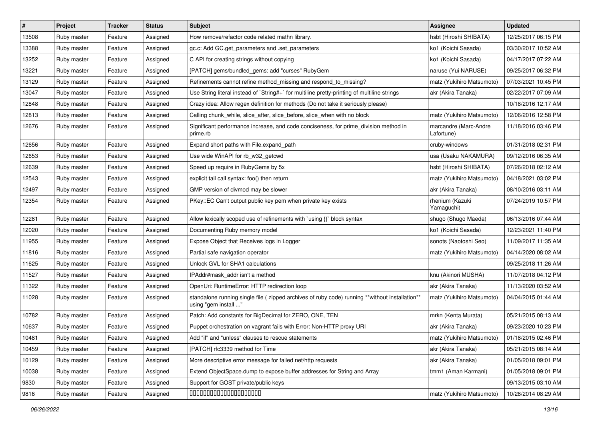| $\vert$ # | Project     | <b>Tracker</b> | <b>Status</b> | Subject                                                                                                                 | <b>Assignee</b>                     | <b>Updated</b>      |
|-----------|-------------|----------------|---------------|-------------------------------------------------------------------------------------------------------------------------|-------------------------------------|---------------------|
| 13508     | Ruby master | Feature        | Assigned      | How remove/refactor code related mathn library.                                                                         | hsbt (Hiroshi SHIBATA)              | 12/25/2017 06:15 PM |
| 13388     | Ruby master | Feature        | Assigned      | gc.c: Add GC.get_parameters and .set_parameters                                                                         | ko1 (Koichi Sasada)                 | 03/30/2017 10:52 AM |
| 13252     | Ruby master | Feature        | Assigned      | C API for creating strings without copying                                                                              | ko1 (Koichi Sasada)                 | 04/17/2017 07:22 AM |
| 13221     | Ruby master | Feature        | Assigned      | [PATCH] gems/bundled_gems: add "curses" RubyGem                                                                         | naruse (Yui NARUSE)                 | 09/25/2017 06:32 PM |
| 13129     | Ruby master | Feature        | Assigned      | Refinements cannot refine method_missing and respond_to_missing?                                                        | matz (Yukihiro Matsumoto)           | 07/03/2021 10:45 PM |
| 13047     | Ruby master | Feature        | Assigned      | Use String literal instead of `String#+` for multiline pretty-printing of multiline strings                             | akr (Akira Tanaka)                  | 02/22/2017 07:09 AM |
| 12848     | Ruby master | Feature        | Assigned      | Crazy idea: Allow regex definition for methods (Do not take it seriously please)                                        |                                     | 10/18/2016 12:17 AM |
| 12813     | Ruby master | Feature        | Assigned      | Calling chunk while, slice after, slice before, slice when with no block                                                | matz (Yukihiro Matsumoto)           | 12/06/2016 12:58 PM |
| 12676     | Ruby master | Feature        | Assigned      | Significant performance increase, and code conciseness, for prime_division method in<br>prime.rb                        | marcandre (Marc-Andre<br>Lafortune) | 11/18/2016 03:46 PM |
| 12656     | Ruby master | Feature        | Assigned      | Expand short paths with File.expand path                                                                                | cruby-windows                       | 01/31/2018 02:31 PM |
| 12653     | Ruby master | Feature        | Assigned      | Use wide WinAPI for rb_w32_getcwd                                                                                       | usa (Usaku NAKAMURA)                | 09/12/2016 06:35 AM |
| 12639     | Ruby master | Feature        | Assigned      | Speed up require in RubyGems by 5x                                                                                      | hsbt (Hiroshi SHIBATA)              | 07/26/2018 02:12 AM |
| 12543     | Ruby master | Feature        | Assigned      | explicit tail call syntax: foo() then return                                                                            | matz (Yukihiro Matsumoto)           | 04/18/2021 03:02 PM |
| 12497     | Ruby master | Feature        | Assigned      | GMP version of divmod may be slower                                                                                     | akr (Akira Tanaka)                  | 08/10/2016 03:11 AM |
| 12354     | Ruby master | Feature        | Assigned      | PKey::EC Can't output public key pem when private key exists                                                            | rhenium (Kazuki<br>Yamaguchi)       | 07/24/2019 10:57 PM |
| 12281     | Ruby master | Feature        | Assigned      | Allow lexically scoped use of refinements with `using {}` block syntax                                                  | shugo (Shugo Maeda)                 | 06/13/2016 07:44 AM |
| 12020     | Ruby master | Feature        | Assigned      | Documenting Ruby memory model                                                                                           | ko1 (Koichi Sasada)                 | 12/23/2021 11:40 PM |
| 11955     | Ruby master | Feature        | Assigned      | Expose Object that Receives logs in Logger                                                                              | sonots (Naotoshi Seo)               | 11/09/2017 11:35 AM |
| 11816     | Ruby master | Feature        | Assigned      | Partial safe navigation operator                                                                                        | matz (Yukihiro Matsumoto)           | 04/14/2020 08:02 AM |
| 11625     | Ruby master | Feature        | Assigned      | Unlock GVL for SHA1 calculations                                                                                        |                                     | 09/25/2018 11:26 AM |
| 11527     | Ruby master | Feature        | Assigned      | IPAddr#mask_addr isn't a method                                                                                         | knu (Akinori MUSHA)                 | 11/07/2018 04:12 PM |
| 11322     | Ruby master | Feature        | Assigned      | OpenUri: RuntimeError: HTTP redirection loop                                                                            | akr (Akira Tanaka)                  | 11/13/2020 03:52 AM |
| 11028     | Ruby master | Feature        | Assigned      | standalone running single file ( zipped archives of ruby code) running **without installation**<br>using "gem install " | matz (Yukihiro Matsumoto)           | 04/04/2015 01:44 AM |
| 10782     | Ruby master | Feature        | Assigned      | Patch: Add constants for BigDecimal for ZERO, ONE, TEN                                                                  | mrkn (Kenta Murata)                 | 05/21/2015 08:13 AM |
| 10637     | Ruby master | Feature        | Assigned      | Puppet orchestration on vagrant fails with Error: Non-HTTP proxy URI                                                    | akr (Akira Tanaka)                  | 09/23/2020 10:23 PM |
| 10481     | Ruby master | Feature        | Assigned      | Add "if" and "unless" clauses to rescue statements                                                                      | matz (Yukihiro Matsumoto)           | 01/18/2015 02:46 PM |
| 10459     | Ruby master | Feature        | Assigned      | [PATCH] rfc3339 method for Time                                                                                         | akr (Akira Tanaka)                  | 05/21/2015 08:14 AM |
| 10129     | Ruby master | Feature        | Assigned      | More descriptive error message for failed net/http requests                                                             | akr (Akira Tanaka)                  | 01/05/2018 09:01 PM |
| 10038     | Ruby master | Feature        | Assigned      | Extend ObjectSpace.dump to expose buffer addresses for String and Array                                                 | tmm1 (Aman Karmani)                 | 01/05/2018 09:01 PM |
| 9830      | Ruby master | Feature        | Assigned      | Support for GOST private/public keys                                                                                    |                                     | 09/13/2015 03:10 AM |
| 9816      | Ruby master | Feature        | Assigned      | 00000000000000000000                                                                                                    | matz (Yukihiro Matsumoto)           | 10/28/2014 08:29 AM |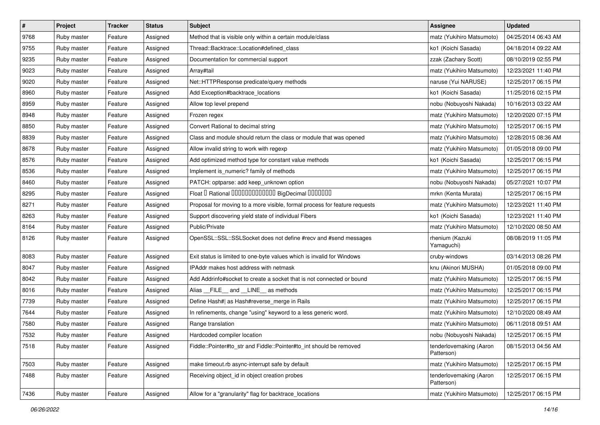| $\vert$ # | Project     | <b>Tracker</b> | <b>Status</b> | Subject                                                                    | <b>Assignee</b>                       | <b>Updated</b>      |
|-----------|-------------|----------------|---------------|----------------------------------------------------------------------------|---------------------------------------|---------------------|
| 9768      | Ruby master | Feature        | Assigned      | Method that is visible only within a certain module/class                  | matz (Yukihiro Matsumoto)             | 04/25/2014 06:43 AM |
| 9755      | Ruby master | Feature        | Assigned      | Thread::Backtrace::Location#defined_class                                  | ko1 (Koichi Sasada)                   | 04/18/2014 09:22 AM |
| 9235      | Ruby master | Feature        | Assigned      | Documentation for commercial support                                       | zzak (Zachary Scott)                  | 08/10/2019 02:55 PM |
| 9023      | Ruby master | Feature        | Assigned      | Array#tail                                                                 | matz (Yukihiro Matsumoto)             | 12/23/2021 11:40 PM |
| 9020      | Ruby master | Feature        | Assigned      | Net::HTTPResponse predicate/query methods                                  | naruse (Yui NARUSE)                   | 12/25/2017 06:15 PM |
| 8960      | Ruby master | Feature        | Assigned      | Add Exception#backtrace_locations                                          | ko1 (Koichi Sasada)                   | 11/25/2016 02:15 PM |
| 8959      | Ruby master | Feature        | Assigned      | Allow top level prepend                                                    | nobu (Nobuyoshi Nakada)               | 10/16/2013 03:22 AM |
| 8948      | Ruby master | Feature        | Assigned      | Frozen regex                                                               | matz (Yukihiro Matsumoto)             | 12/20/2020 07:15 PM |
| 8850      | Ruby master | Feature        | Assigned      | Convert Rational to decimal string                                         | matz (Yukihiro Matsumoto)             | 12/25/2017 06:15 PM |
| 8839      | Ruby master | Feature        | Assigned      | Class and module should return the class or module that was opened         | matz (Yukihiro Matsumoto)             | 12/28/2015 08:36 AM |
| 8678      | Ruby master | Feature        | Assigned      | Allow invalid string to work with regexp                                   | matz (Yukihiro Matsumoto)             | 01/05/2018 09:00 PM |
| 8576      | Ruby master | Feature        | Assigned      | Add optimized method type for constant value methods                       | ko1 (Koichi Sasada)                   | 12/25/2017 06:15 PM |
| 8536      | Ruby master | Feature        | Assigned      | Implement is_numeric? family of methods                                    | matz (Yukihiro Matsumoto)             | 12/25/2017 06:15 PM |
| 8460      | Ruby master | Feature        | Assigned      | PATCH: optparse: add keep_unknown option                                   | nobu (Nobuyoshi Nakada)               | 05/27/2021 10:07 PM |
| 8295      | Ruby master | Feature        | Assigned      | Float I Rational 0000000000000 BigDecimal 0000000                          | mrkn (Kenta Murata)                   | 12/25/2017 06:15 PM |
| 8271      | Ruby master | Feature        | Assigned      | Proposal for moving to a more visible, formal process for feature requests | matz (Yukihiro Matsumoto)             | 12/23/2021 11:40 PM |
| 8263      | Ruby master | Feature        | Assigned      | Support discovering yield state of individual Fibers                       | ko1 (Koichi Sasada)                   | 12/23/2021 11:40 PM |
| 8164      | Ruby master | Feature        | Assigned      | Public/Private                                                             | matz (Yukihiro Matsumoto)             | 12/10/2020 08:50 AM |
| 8126      | Ruby master | Feature        | Assigned      | OpenSSL::SSL::SSLSocket does not define #recv and #send messages           | rhenium (Kazuki<br>Yamaguchi)         | 08/08/2019 11:05 PM |
| 8083      | Ruby master | Feature        | Assigned      | Exit status is limited to one-byte values which is invalid for Windows     | cruby-windows                         | 03/14/2013 08:26 PM |
| 8047      | Ruby master | Feature        | Assigned      | IPAddr makes host address with netmask                                     | knu (Akinori MUSHA)                   | 01/05/2018 09:00 PM |
| 8042      | Ruby master | Feature        | Assigned      | Add Addrinfo#socket to create a socket that is not connected or bound      | matz (Yukihiro Matsumoto)             | 12/25/2017 06:15 PM |
| 8016      | Ruby master | Feature        | Assigned      | Alias __FILE__ and __LINE__ as methods                                     | matz (Yukihiro Matsumoto)             | 12/25/2017 06:15 PM |
| 7739      | Ruby master | Feature        | Assigned      | Define Hash#  as Hash#reverse_merge in Rails                               | matz (Yukihiro Matsumoto)             | 12/25/2017 06:15 PM |
| 7644      | Ruby master | Feature        | Assigned      | In refinements, change "using" keyword to a less generic word.             | matz (Yukihiro Matsumoto)             | 12/10/2020 08:49 AM |
| 7580      | Ruby master | Feature        | Assigned      | Range translation                                                          | matz (Yukihiro Matsumoto)             | 06/11/2018 09:51 AM |
| 7532      | Ruby master | Feature        | Assigned      | Hardcoded compiler location                                                | nobu (Nobuyoshi Nakada)               | 12/25/2017 06:15 PM |
| 7518      | Ruby master | Feature        | Assigned      | Fiddle::Pointer#to_str and Fiddle::Pointer#to_int should be removed        | tenderlovemaking (Aaron<br>Patterson) | 08/15/2013 04:56 AM |
| 7503      | Ruby master | Feature        | Assigned      | make timeout.rb async-interrupt safe by default                            | matz (Yukihiro Matsumoto)             | 12/25/2017 06:15 PM |
| 7488      | Ruby master | Feature        | Assigned      | Receiving object id in object creation probes                              | tenderlovemaking (Aaron<br>Patterson) | 12/25/2017 06:15 PM |
| 7436      | Ruby master | Feature        | Assigned      | Allow for a "granularity" flag for backtrace_locations                     | matz (Yukihiro Matsumoto)             | 12/25/2017 06:15 PM |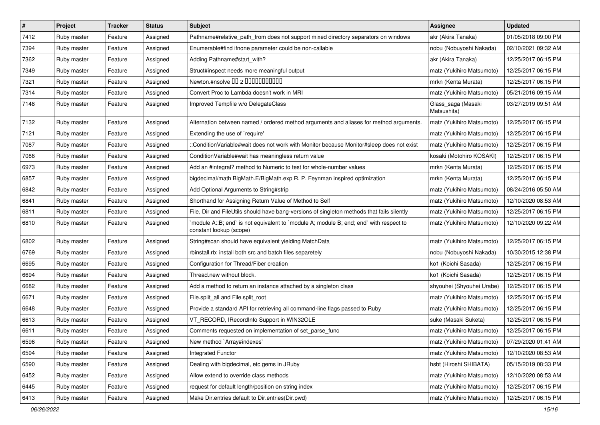| $\vert$ # | Project     | <b>Tracker</b> | <b>Status</b> | <b>Subject</b>                                                                                                   | <b>Assignee</b>                   | <b>Updated</b>      |
|-----------|-------------|----------------|---------------|------------------------------------------------------------------------------------------------------------------|-----------------------------------|---------------------|
| 7412      | Ruby master | Feature        | Assigned      | Pathname#relative_path_from does not support mixed directory separators on windows                               | akr (Akira Tanaka)                | 01/05/2018 09:00 PM |
| 7394      | Ruby master | Feature        | Assigned      | Enumerable#find ifnone parameter could be non-callable                                                           | nobu (Nobuyoshi Nakada)           | 02/10/2021 09:32 AM |
| 7362      | Ruby master | Feature        | Assigned      | Adding Pathname#start_with?                                                                                      | akr (Akira Tanaka)                | 12/25/2017 06:15 PM |
| 7349      | Ruby master | Feature        | Assigned      | Struct#inspect needs more meaningful output                                                                      | matz (Yukihiro Matsumoto)         | 12/25/2017 06:15 PM |
| 7321      | Ruby master | Feature        | Assigned      | Newton.#nsolve 00 2 0000000000                                                                                   | mrkn (Kenta Murata)               | 12/25/2017 06:15 PM |
| 7314      | Ruby master | Feature        | Assigned      | Convert Proc to Lambda doesn't work in MRI                                                                       | matz (Yukihiro Matsumoto)         | 05/21/2016 09:15 AM |
| 7148      | Ruby master | Feature        | Assigned      | Improved Tempfile w/o DelegateClass                                                                              | Glass_saga (Masaki<br>Matsushita) | 03/27/2019 09:51 AM |
| 7132      | Ruby master | Feature        | Assigned      | Alternation between named / ordered method arguments and aliases for method arguments.                           | matz (Yukihiro Matsumoto)         | 12/25/2017 06:15 PM |
| 7121      | Ruby master | Feature        | Assigned      | Extending the use of `require'                                                                                   | matz (Yukihiro Matsumoto)         | 12/25/2017 06:15 PM |
| 7087      | Ruby master | Feature        | Assigned      | ::ConditionVariable#wait does not work with Monitor because Monitor#sleep does not exist                         | matz (Yukihiro Matsumoto)         | 12/25/2017 06:15 PM |
| 7086      | Ruby master | Feature        | Assigned      | Condition Variable#wait has meaningless return value                                                             | kosaki (Motohiro KOSAKI)          | 12/25/2017 06:15 PM |
| 6973      | Ruby master | Feature        | Assigned      | Add an #integral? method to Numeric to test for whole-number values                                              | mrkn (Kenta Murata)               | 12/25/2017 06:15 PM |
| 6857      | Ruby master | Feature        | Assigned      | bigdecimal/math BigMath.E/BigMath.exp R. P. Feynman inspired optimization                                        | mrkn (Kenta Murata)               | 12/25/2017 06:15 PM |
| 6842      | Ruby master | Feature        | Assigned      | Add Optional Arguments to String#strip                                                                           | matz (Yukihiro Matsumoto)         | 08/24/2016 05:50 AM |
| 6841      | Ruby master | Feature        | Assigned      | Shorthand for Assigning Return Value of Method to Self                                                           | matz (Yukihiro Matsumoto)         | 12/10/2020 08:53 AM |
| 6811      | Ruby master | Feature        | Assigned      | File, Dir and FileUtils should have bang-versions of singleton methods that fails silently                       | matz (Yukihiro Matsumoto)         | 12/25/2017 06:15 PM |
| 6810      | Ruby master | Feature        | Assigned      | module A::B; end` is not equivalent to `module A; module B; end; end` with respect to<br>constant lookup (scope) | matz (Yukihiro Matsumoto)         | 12/10/2020 09:22 AM |
| 6802      | Ruby master | Feature        | Assigned      | String#scan should have equivalent yielding MatchData                                                            | matz (Yukihiro Matsumoto)         | 12/25/2017 06:15 PM |
| 6769      | Ruby master | Feature        | Assigned      | rbinstall.rb: install both src and batch files separetely                                                        | nobu (Nobuyoshi Nakada)           | 10/30/2015 12:38 PM |
| 6695      | Ruby master | Feature        | Assigned      | Configuration for Thread/Fiber creation                                                                          | ko1 (Koichi Sasada)               | 12/25/2017 06:15 PM |
| 6694      | Ruby master | Feature        | Assigned      | Thread.new without block.                                                                                        | ko1 (Koichi Sasada)               | 12/25/2017 06:15 PM |
| 6682      | Ruby master | Feature        | Assigned      | Add a method to return an instance attached by a singleton class                                                 | shyouhei (Shyouhei Urabe)         | 12/25/2017 06:15 PM |
| 6671      | Ruby master | Feature        | Assigned      | File.split_all and File.split_root                                                                               | matz (Yukihiro Matsumoto)         | 12/25/2017 06:15 PM |
| 6648      | Ruby master | Feature        | Assigned      | Provide a standard API for retrieving all command-line flags passed to Ruby                                      | matz (Yukihiro Matsumoto)         | 12/25/2017 06:15 PM |
| 6613      | Ruby master | Feature        | Assigned      | VT_RECORD, IRecordInfo Support in WIN32OLE                                                                       | suke (Masaki Suketa)              | 12/25/2017 06:15 PM |
| 6611      | Ruby master | Feature        | Assigned      | Comments requested on implementation of set_parse_func                                                           | matz (Yukihiro Matsumoto)         | 12/25/2017 06:15 PM |
| 6596      | Ruby master | Feature        | Assigned      | New method `Array#indexes`                                                                                       | matz (Yukihiro Matsumoto)         | 07/29/2020 01:41 AM |
| 6594      | Ruby master | Feature        | Assigned      | Integrated Functor                                                                                               | matz (Yukihiro Matsumoto)         | 12/10/2020 08:53 AM |
| 6590      | Ruby master | Feature        | Assigned      | Dealing with bigdecimal, etc gems in JRuby                                                                       | hsbt (Hiroshi SHIBATA)            | 05/15/2019 08:33 PM |
| 6452      | Ruby master | Feature        | Assigned      | Allow extend to override class methods                                                                           | matz (Yukihiro Matsumoto)         | 12/10/2020 08:53 AM |
| 6445      | Ruby master | Feature        | Assigned      | request for default length/position on string index                                                              | matz (Yukihiro Matsumoto)         | 12/25/2017 06:15 PM |
| 6413      | Ruby master | Feature        | Assigned      | Make Dir.entries default to Dir.entries(Dir.pwd)                                                                 | matz (Yukihiro Matsumoto)         | 12/25/2017 06:15 PM |